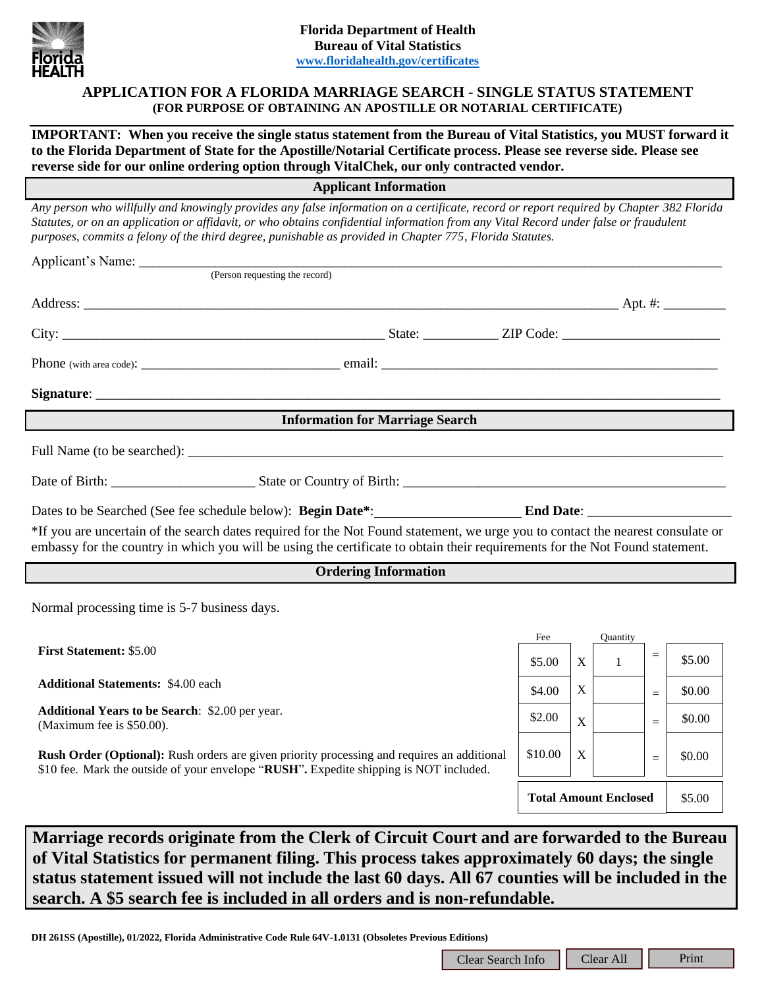

# **APPLICATION FOR A FLORIDA MARRIAGE SEARCH - SINGLE STATUS STATEMENT (FOR PURPOSE OF OBTAINING AN APOSTILLE OR NOTARIAL CERTIFICATE)**

**IMPORTANT: When you receive the single status statement from the Bureau of Vital Statistics, you MUST forward it to the Florida Department of State for the Apostille/Notarial Certificate process. Please see reverse side. Please see reverse side for our online ordering option through VitalChek, our only contracted vendor.**

**Applicant Information**

*Any person who willfully and knowingly provides any false information on a certificate, record or report required by Chapter 382 Florida Statutes, or on an application or affidavit, or who obtains confidential information from any Vital Record under false or fraudulent purposes, commits a felony of the third degree, punishable as provided in Chapter 775, Florida Statutes.*

| Applicant's Name:                                                                                                                                                                                                                                                                                                             |                                                                                                                                                                                                                                                                 |        |                   |                 |     |        |  |
|-------------------------------------------------------------------------------------------------------------------------------------------------------------------------------------------------------------------------------------------------------------------------------------------------------------------------------|-----------------------------------------------------------------------------------------------------------------------------------------------------------------------------------------------------------------------------------------------------------------|--------|-------------------|-----------------|-----|--------|--|
|                                                                                                                                                                                                                                                                                                                               | (Person requesting the record)                                                                                                                                                                                                                                  |        |                   |                 |     |        |  |
|                                                                                                                                                                                                                                                                                                                               |                                                                                                                                                                                                                                                                 |        |                   |                 |     |        |  |
|                                                                                                                                                                                                                                                                                                                               |                                                                                                                                                                                                                                                                 |        |                   |                 |     |        |  |
|                                                                                                                                                                                                                                                                                                                               |                                                                                                                                                                                                                                                                 |        |                   |                 |     |        |  |
|                                                                                                                                                                                                                                                                                                                               |                                                                                                                                                                                                                                                                 |        |                   |                 |     |        |  |
|                                                                                                                                                                                                                                                                                                                               | <b>Information for Marriage Search</b>                                                                                                                                                                                                                          |        |                   |                 |     |        |  |
|                                                                                                                                                                                                                                                                                                                               | Full Name (to be searched):                                                                                                                                                                                                                                     |        |                   |                 |     |        |  |
|                                                                                                                                                                                                                                                                                                                               |                                                                                                                                                                                                                                                                 |        |                   |                 |     |        |  |
|                                                                                                                                                                                                                                                                                                                               |                                                                                                                                                                                                                                                                 |        |                   |                 |     |        |  |
|                                                                                                                                                                                                                                                                                                                               | *If you are uncertain of the search dates required for the Not Found statement, we urge you to contact the nearest consulate or<br>embassy for the country in which you will be using the certificate to obtain their requirements for the Not Found statement. |        |                   |                 |     |        |  |
|                                                                                                                                                                                                                                                                                                                               | <b>Ordering Information</b>                                                                                                                                                                                                                                     |        |                   |                 |     |        |  |
| Normal processing time is 5-7 business days.                                                                                                                                                                                                                                                                                  |                                                                                                                                                                                                                                                                 |        |                   |                 |     |        |  |
|                                                                                                                                                                                                                                                                                                                               |                                                                                                                                                                                                                                                                 | Fee    |                   | <b>Ouantity</b> |     |        |  |
| <b>First Statement: \$5.00</b>                                                                                                                                                                                                                                                                                                |                                                                                                                                                                                                                                                                 | \$5.00 | X                 | $\sim$ 1        | $=$ | \$5.00 |  |
| <b>Additional Statements: \$4.00 each</b>                                                                                                                                                                                                                                                                                     |                                                                                                                                                                                                                                                                 | \$4.00 | $X_{\mathcal{I}}$ |                 | $=$ | \$0.00 |  |
| $\overline{a}$ , and the contract $\overline{a}$ and $\overline{a}$ and $\overline{a}$ and $\overline{a}$ and $\overline{a}$ and $\overline{a}$ and $\overline{a}$ and $\overline{a}$ and $\overline{a}$ and $\overline{a}$ and $\overline{a}$ and $\overline{a}$ and $\overline{a}$ and $\overline{a}$ and $\overline{a}$ an |                                                                                                                                                                                                                                                                 |        |                   |                 |     |        |  |

**Additional Years to be Search**: \$2.00 per year. Additional Tears to be search.  $\phi$ 2.00 pcl year.<br>(Maximum fee is \$50.00).

**Rush Order (Optional):** Rush orders are given priority processing and requires an additional \$10 fee. Mark the outside of your envelope "**RUSH**"**.** Expedite shipping is NOT included.



**Marriage records originate from the Clerk of Circuit Court and are forwarded to the Bureau of Vital Statistics for permanent filing. This process takes approximately 60 days; the single status statement issued will not include the last 60 days. All 67 counties will be included in the search. A \$5 search fee is included in all orders and is non-refundable.**

**DH 261SS (Apostille), 01/2022, Florida Administrative Code Rule 64V-1.0131 (Obsoletes Previous Editions)**